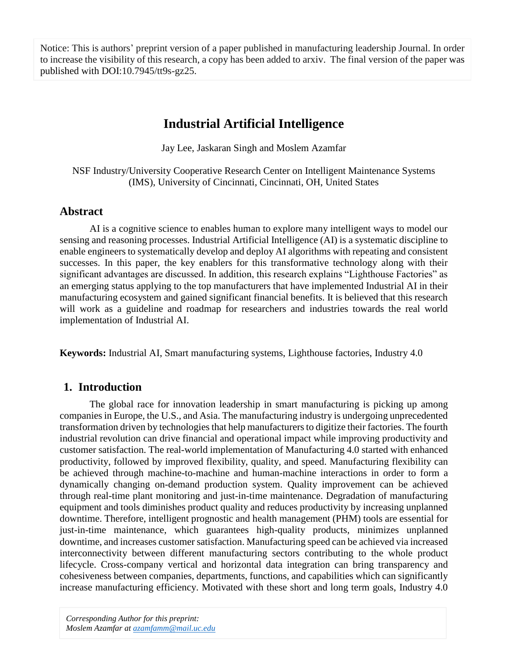Notice: This is authors' preprint version of a paper published in manufacturing leadership Journal. In order to increase the visibility of this research, a copy has been added to arxiv. The final version of the paper was published with DOI:10.7945/tt9s-gz25.

# **Industrial Artificial Intelligence**

Jay Lee, Jaskaran Singh and Moslem Azamfar

NSF Industry/University Cooperative Research Center on Intelligent Maintenance Systems (IMS), University of Cincinnati, Cincinnati, OH, United States

## **Abstract**

AI is a cognitive science to enables human to explore many intelligent ways to model our sensing and reasoning processes. Industrial Artificial Intelligence (AI) is a systematic discipline to enable engineers to systematically develop and deploy AI algorithms with repeating and consistent successes. In this paper, the key enablers for this transformative technology along with their significant advantages are discussed. In addition, this research explains "Lighthouse Factories" as an emerging status applying to the top manufacturers that have implemented Industrial AI in their manufacturing ecosystem and gained significant financial benefits. It is believed that this research will work as a guideline and roadmap for researchers and industries towards the real world implementation of Industrial AI.

**Keywords:** Industrial AI, Smart manufacturing systems, Lighthouse factories, Industry 4.0

## **1. Introduction**

The global race for innovation leadership in smart manufacturing is picking up among companies in Europe, the U.S., and Asia. The manufacturing industry is undergoing unprecedented transformation driven by technologiesthat help manufacturers to digitize their factories. The fourth industrial revolution can drive financial and operational impact while improving productivity and customer satisfaction. The real-world implementation of Manufacturing 4.0 started with enhanced productivity, followed by improved flexibility, quality, and speed. Manufacturing flexibility can be achieved through machine-to-machine and human-machine interactions in order to form a dynamically changing on-demand production system. Quality improvement can be achieved through real-time plant monitoring and just-in-time maintenance. Degradation of manufacturing equipment and tools diminishes product quality and reduces productivity by increasing unplanned downtime. Therefore, intelligent prognostic and health management (PHM) tools are essential for just-in-time maintenance, which guarantees high-quality products, minimizes unplanned downtime, and increases customer satisfaction. Manufacturing speed can be achieved via increased interconnectivity between different manufacturing sectors contributing to the whole product lifecycle. Cross-company vertical and horizontal data integration can bring transparency and cohesiveness between companies, departments, functions, and capabilities which can significantly increase manufacturing efficiency. Motivated with these short and long term goals, Industry 4.0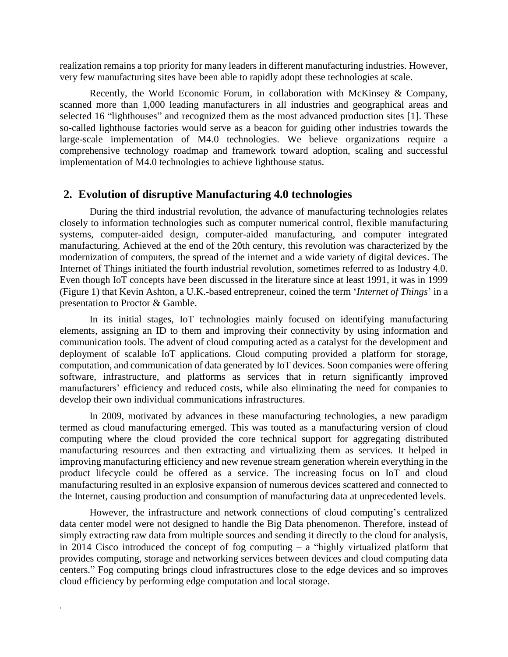realization remains a top priority for many leaders in different manufacturing industries. However, very few manufacturing sites have been able to rapidly adopt these technologies at scale.

Recently, the World Economic Forum, in collaboration with McKinsey & Company, scanned more than 1,000 leading manufacturers in all industries and geographical areas and selected 16 "lighthouses" and recognized them as the most advanced production sites [1]. These so-called lighthouse factories would serve as a beacon for guiding other industries towards the large-scale implementation of M4.0 technologies. We believe organizations require a comprehensive technology roadmap and framework toward adoption, scaling and successful implementation of M4.0 technologies to achieve lighthouse status.

#### **2. Evolution of disruptive Manufacturing 4.0 technologies**

During the third industrial revolution, the advance of manufacturing technologies relates closely to information technologies such as computer numerical control, flexible manufacturing systems, computer-aided design, computer-aided manufacturing, and computer integrated manufacturing. Achieved at the end of the 20th century, this revolution was characterized by the modernization of computers, the spread of the internet and a wide variety of digital devices. The Internet of Things initiated the fourth industrial revolution, sometimes referred to as Industry 4.0. Even though IoT concepts have been discussed in the literature since at least 1991, it was in 1999 (Figure 1) that Kevin Ashton, a U.K.-based entrepreneur, coined the term '*Internet of Things*' in a presentation to Proctor & Gamble.

In its initial stages, IoT technologies mainly focused on identifying manufacturing elements, assigning an ID to them and improving their connectivity by using information and communication tools. The advent of cloud computing acted as a catalyst for the development and deployment of scalable IoT applications. Cloud computing provided a platform for storage, computation, and communication of data generated by IoT devices. Soon companies were offering software, infrastructure, and platforms as services that in return significantly improved manufacturers' efficiency and reduced costs, while also eliminating the need for companies to develop their own individual communications infrastructures.

In 2009, motivated by advances in these manufacturing technologies, a new paradigm termed as cloud manufacturing emerged. This was touted as a manufacturing version of cloud computing where the cloud provided the core technical support for aggregating distributed manufacturing resources and then extracting and virtualizing them as services. It helped in improving manufacturing efficiency and new revenue stream generation wherein everything in the product lifecycle could be offered as a service. The increasing focus on IoT and cloud manufacturing resulted in an explosive expansion of numerous devices scattered and connected to the Internet, causing production and consumption of manufacturing data at unprecedented levels.

However, the infrastructure and network connections of cloud computing's centralized data center model were not designed to handle the Big Data phenomenon. Therefore, instead of simply extracting raw data from multiple sources and sending it directly to the cloud for analysis, in 2014 Cisco introduced the concept of fog computing  $-$  a "highly virtualized platform that provides computing, storage and networking services between devices and cloud computing data centers." Fog computing brings cloud infrastructures close to the edge devices and so improves cloud efficiency by performing edge computation and local storage.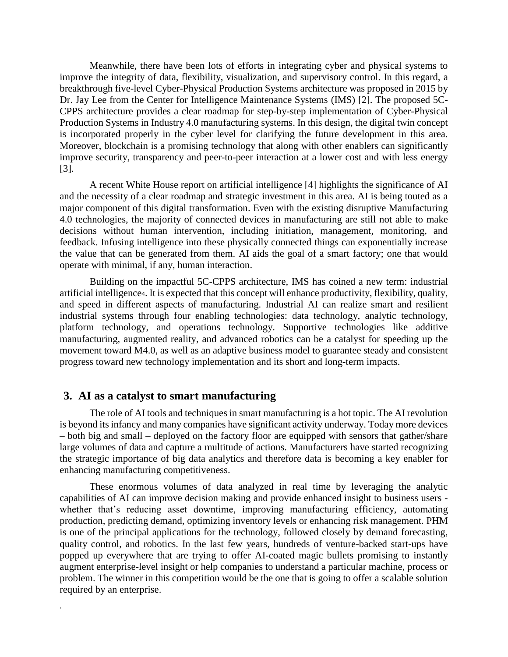Meanwhile, there have been lots of efforts in integrating cyber and physical systems to improve the integrity of data, flexibility, visualization, and supervisory control. In this regard, a breakthrough five-level Cyber-Physical Production Systems architecture was proposed in 2015 by Dr. Jay Lee from the Center for Intelligence Maintenance Systems (IMS) [2]. The proposed 5C-CPPS architecture provides a clear roadmap for step-by-step implementation of Cyber-Physical Production Systems in Industry 4.0 manufacturing systems. In this design, the digital twin concept is incorporated properly in the cyber level for clarifying the future development in this area. Moreover, blockchain is a promising technology that along with other enablers can significantly improve security, transparency and peer-to-peer interaction at a lower cost and with less energy [3].

A recent White House report on artificial intelligence [4] highlights the significance of AI and the necessity of a clear roadmap and strategic investment in this area. AI is being touted as a major component of this digital transformation. Even with the existing disruptive Manufacturing 4.0 technologies, the majority of connected devices in manufacturing are still not able to make decisions without human intervention, including initiation, management, monitoring, and feedback. Infusing intelligence into these physically connected things can exponentially increase the value that can be generated from them. AI aids the goal of a smart factory; one that would operate with minimal, if any, human interaction.

Building on the impactful 5C-CPPS architecture, IMS has coined a new term: industrial artificial intelligence4. It is expected that this concept will enhance productivity, flexibility, quality, and speed in different aspects of manufacturing. Industrial AI can realize smart and resilient industrial systems through four enabling technologies: data technology, analytic technology, platform technology, and operations technology. Supportive technologies like additive manufacturing, augmented reality, and advanced robotics can be a catalyst for speeding up the movement toward M4.0, as well as an adaptive business model to guarantee steady and consistent progress toward new technology implementation and its short and long-term impacts.

#### **3. AI as a catalyst to smart manufacturing**

*.*

The role of AI tools and techniques in smart manufacturing is a hot topic. The AI revolution is beyond its infancy and many companies have significant activity underway. Today more devices – both big and small – deployed on the factory floor are equipped with sensors that gather/share large volumes of data and capture a multitude of actions. Manufacturers have started recognizing the strategic importance of big data analytics and therefore data is becoming a key enabler for enhancing manufacturing competitiveness.

These enormous volumes of data analyzed in real time by leveraging the analytic capabilities of AI can improve decision making and provide enhanced insight to business users whether that's reducing asset downtime, improving manufacturing efficiency, automating production, predicting demand, optimizing inventory levels or enhancing risk management. PHM is one of the principal applications for the technology, followed closely by demand forecasting, quality control, and robotics. In the last few years, hundreds of venture-backed start-ups have popped up everywhere that are trying to offer AI-coated magic bullets promising to instantly augment enterprise-level insight or help companies to understand a particular machine, process or problem. The winner in this competition would be the one that is going to offer a scalable solution required by an enterprise.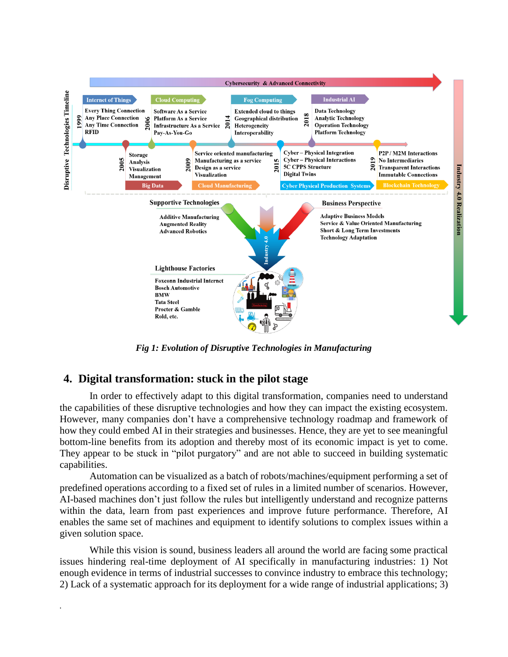

*Fig 1: Evolution of Disruptive Technologies in Manufacturing*

### **4. Digital transformation: stuck in the pilot stage**

*.*

In order to effectively adapt to this digital transformation, companies need to understand the capabilities of these disruptive technologies and how they can impact the existing ecosystem. However, many companies don't have a comprehensive technology roadmap and framework of how they could embed AI in their strategies and businesses. Hence, they are yet to see meaningful bottom-line benefits from its adoption and thereby most of its economic impact is yet to come. They appear to be stuck in "pilot purgatory" and are not able to succeed in building systematic capabilities.

Automation can be visualized as a batch of robots/machines/equipment performing a set of predefined operations according to a fixed set of rules in a limited number of scenarios. However, AI-based machines don't just follow the rules but intelligently understand and recognize patterns within the data, learn from past experiences and improve future performance. Therefore, AI enables the same set of machines and equipment to identify solutions to complex issues within a given solution space.

While this vision is sound, business leaders all around the world are facing some practical issues hindering real-time deployment of AI specifically in manufacturing industries: 1) Not enough evidence in terms of industrial successes to convince industry to embrace this technology; 2) Lack of a systematic approach for its deployment for a wide range of industrial applications; 3)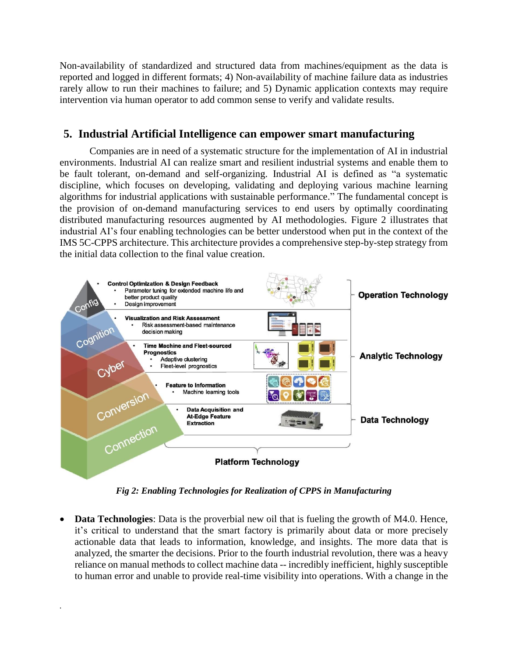Non-availability of standardized and structured data from machines/equipment as the data is reported and logged in different formats; 4) Non-availability of machine failure data as industries rarely allow to run their machines to failure; and 5) Dynamic application contexts may require intervention via human operator to add common sense to verify and validate results.

### **5. Industrial Artificial Intelligence can empower smart manufacturing**

Companies are in need of a systematic structure for the implementation of AI in industrial environments. Industrial AI can realize smart and resilient industrial systems and enable them to be fault tolerant, on-demand and self-organizing. Industrial AI is defined as "a systematic discipline, which focuses on developing, validating and deploying various machine learning algorithms for industrial applications with sustainable performance." The fundamental concept is the provision of on-demand manufacturing services to end users by optimally coordinating distributed manufacturing resources augmented by AI methodologies. Figure 2 illustrates that industrial AI's four enabling technologies can be better understood when put in the context of the IMS 5C-CPPS architecture. This architecture provides a comprehensive step-by-step strategy from the initial data collection to the final value creation.



*Fig 2: Enabling Technologies for Realization of CPPS in Manufacturing*

• **Data Technologies**: Data is the proverbial new oil that is fueling the growth of M4.0. Hence, it's critical to understand that the smart factory is primarily about data or more precisely actionable data that leads to information, knowledge, and insights. The more data that is analyzed, the smarter the decisions. Prior to the fourth industrial revolution, there was a heavy reliance on manual methods to collect machine data -- incredibly inefficient, highly susceptible to human error and unable to provide real-time visibility into operations. With a change in the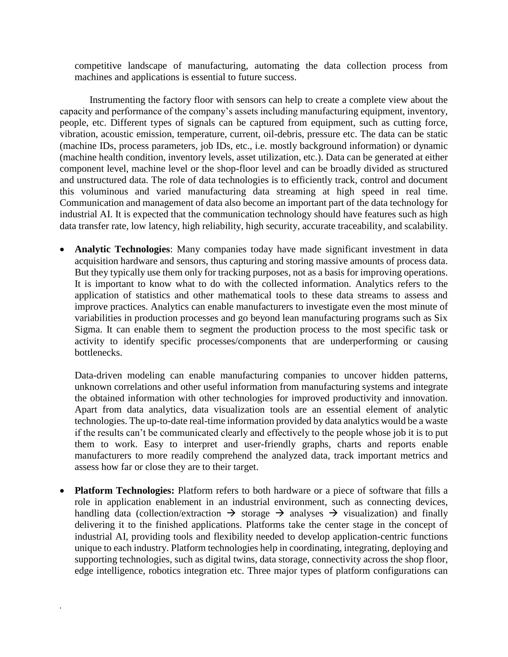competitive landscape of manufacturing, automating the data collection process from machines and applications is essential to future success.

Instrumenting the factory floor with sensors can help to create a complete view about the capacity and performance of the company's assets including manufacturing equipment, inventory, people, etc. Different types of signals can be captured from equipment, such as cutting force, vibration, acoustic emission, temperature, current, oil-debris, pressure etc. The data can be static (machine IDs, process parameters, job IDs, etc., i.e. mostly background information) or dynamic (machine health condition, inventory levels, asset utilization, etc.). Data can be generated at either component level, machine level or the shop-floor level and can be broadly divided as structured and unstructured data. The role of data technologies is to efficiently track, control and document this voluminous and varied manufacturing data streaming at high speed in real time. Communication and management of data also become an important part of the data technology for industrial AI. It is expected that the communication technology should have features such as high data transfer rate, low latency, high reliability, high security, accurate traceability, and scalability.

 **Analytic Technologies**: Many companies today have made significant investment in data acquisition hardware and sensors, thus capturing and storing massive amounts of process data. But they typically use them only for tracking purposes, not as a basis for improving operations. It is important to know what to do with the collected information. Analytics refers to the application of statistics and other mathematical tools to these data streams to assess and improve practices. Analytics can enable manufacturers to investigate even the most minute of variabilities in production processes and go beyond lean manufacturing programs such as Six Sigma. It can enable them to segment the production process to the most specific task or activity to identify specific processes/components that are underperforming or causing bottlenecks.

Data-driven modeling can enable manufacturing companies to uncover hidden patterns, unknown correlations and other useful information from manufacturing systems and integrate the obtained information with other technologies for improved productivity and innovation. Apart from data analytics, data visualization tools are an essential element of analytic technologies. The up-to-date real-time information provided by data analytics would be a waste if the results can't be communicated clearly and effectively to the people whose job it is to put them to work. Easy to interpret and user-friendly graphs, charts and reports enable manufacturers to more readily comprehend the analyzed data, track important metrics and assess how far or close they are to their target.

 **Platform Technologies:** Platform refers to both hardware or a piece of software that fills a role in application enablement in an industrial environment, such as connecting devices, handling data (collection/extraction  $\rightarrow$  storage  $\rightarrow$  analyses  $\rightarrow$  visualization) and finally delivering it to the finished applications. Platforms take the center stage in the concept of industrial AI, providing tools and flexibility needed to develop application-centric functions unique to each industry. Platform technologies help in coordinating, integrating, deploying and supporting technologies, such as digital twins, data storage, connectivity across the shop floor, edge intelligence, robotics integration etc. Three major types of platform configurations can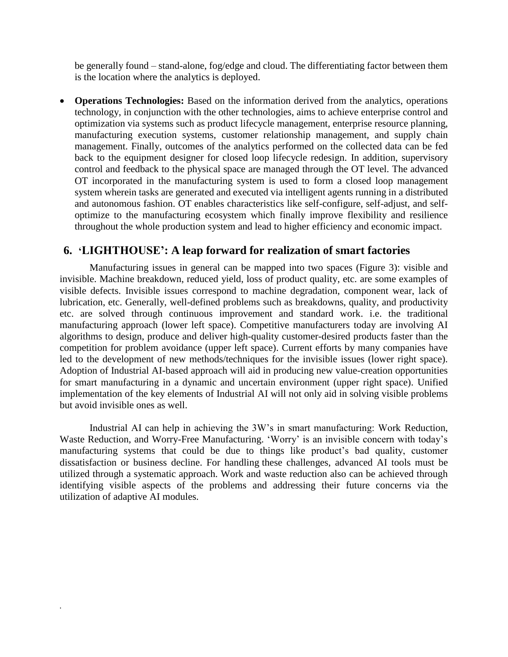be generally found – stand-alone, fog/edge and cloud. The differentiating factor between them is the location where the analytics is deployed.

 **Operations Technologies:** Based on the information derived from the analytics, operations technology, in conjunction with the other technologies, aims to achieve enterprise control and optimization via systems such as product lifecycle management, enterprise resource planning, manufacturing execution systems, customer relationship management, and supply chain management. Finally, outcomes of the analytics performed on the collected data can be fed back to the equipment designer for closed loop lifecycle redesign. In addition, supervisory control and feedback to the physical space are managed through the OT level. The advanced OT incorporated in the manufacturing system is used to form a closed loop management system wherein tasks are generated and executed via intelligent agents running in a distributed and autonomous fashion. OT enables characteristics like self-configure, self-adjust, and selfoptimize to the manufacturing ecosystem which finally improve flexibility and resilience throughout the whole production system and lead to higher efficiency and economic impact.

#### **6. 'LIGHTHOUSE': A leap forward for realization of smart factories**

Manufacturing issues in general can be mapped into two spaces (Figure 3): visible and invisible. Machine breakdown, reduced yield, loss of product quality, etc. are some examples of visible defects. Invisible issues correspond to machine degradation, component wear, lack of lubrication, etc. Generally, well-defined problems such as breakdowns, quality, and productivity etc. are solved through continuous improvement and standard work. i.e. the traditional manufacturing approach (lower left space). Competitive manufacturers today are involving AI algorithms to design, produce and deliver high-quality customer-desired products faster than the competition for problem avoidance (upper left space). Current efforts by many companies have led to the development of new methods/techniques for the invisible issues (lower right space). Adoption of Industrial AI-based approach will aid in producing new value-creation opportunities for smart manufacturing in a dynamic and uncertain environment (upper right space). Unified implementation of the key elements of Industrial AI will not only aid in solving visible problems but avoid invisible ones as well.

Industrial AI can help in achieving the 3W's in smart manufacturing: Work Reduction, Waste Reduction, and Worry-Free Manufacturing. 'Worry' is an invisible concern with today's manufacturing systems that could be due to things like product's bad quality, customer dissatisfaction or business decline. For handling these challenges, advanced AI tools must be utilized through a systematic approach. Work and waste reduction also can be achieved through identifying visible aspects of the problems and addressing their future concerns via the utilization of adaptive AI modules.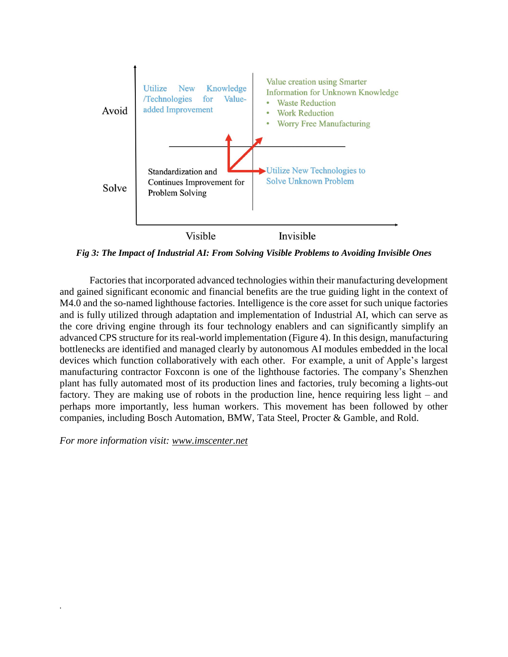

*Fig 3: The Impact of Industrial AI: From Solving Visible Problems to Avoiding Invisible Ones*

Factories that incorporated advanced technologies within their manufacturing development and gained significant economic and financial benefits are the true guiding light in the context of M4.0 and the so-named lighthouse factories. Intelligence is the core asset for such unique factories and is fully utilized through adaptation and implementation of Industrial AI, which can serve as the core driving engine through its four technology enablers and can significantly simplify an advanced CPS structure for its real-world implementation (Figure 4). In this design, manufacturing bottlenecks are identified and managed clearly by autonomous AI modules embedded in the local devices which function collaboratively with each other. For example, a unit of Apple's largest manufacturing contractor Foxconn is one of the lighthouse factories. The company's Shenzhen plant has fully automated most of its production lines and factories, truly becoming a lights-out factory. They are making use of robots in the production line, hence requiring less light – and perhaps more importantly, less human workers. This movement has been followed by other companies, including Bosch Automation, BMW, Tata Steel, Procter & Gamble, and Rold.

*For more information visit: [www.imscenter.net](http://www.imscenter.net/)*